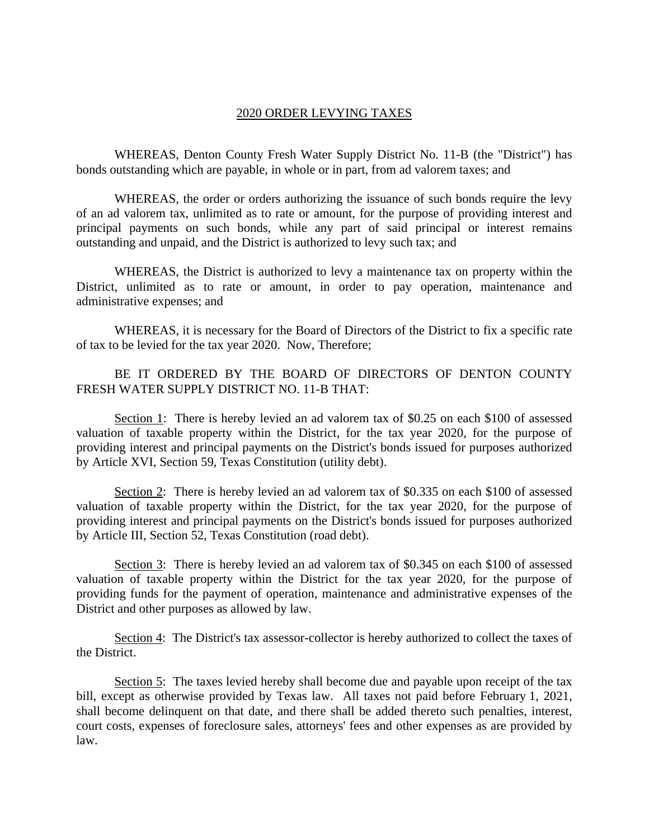## 2020 ORDER LEVYING TAXES

WHEREAS, Denton County Fresh Water Supply District No. 11-B (the "District") has bonds outstanding which are payable, in whole or in part, from ad valorem taxes; and

WHEREAS, the order or orders authorizing the issuance of such bonds require the levy of an ad valorem tax, unlimited as to rate or amount, for the purpose of providing interest and principal payments on such bonds, while any part of said principal or interest remains outstanding and unpaid, and the District is authorized to levy such tax; and

WHEREAS, the District is authorized to levy a maintenance tax on property within the District, unlimited as to rate or amount, in order to pay operation, maintenance and administrative expenses; and

WHEREAS, it is necessary for the Board of Directors of the District to fix a specific rate of tax to be levied for the tax year 2020. Now, Therefore;

BE IT ORDERED BY THE BOARD OF DIRECTORS OF DENTON COUNTY FRESH WATER SUPPLY DISTRICT NO. 11-B THAT:

Section 1: There is hereby levied an ad valorem tax of \$0.25 on each \$100 of assessed valuation of taxable property within the District, for the tax year 2020, for the purpose of providing interest and principal payments on the District's bonds issued for purposes authorized by Article XVI, Section 59, Texas Constitution (utility debt).

Section 2: There is hereby levied an ad valorem tax of \$0.335 on each \$100 of assessed valuation of taxable property within the District, for the tax year 2020, for the purpose of providing interest and principal payments on the District's bonds issued for purposes authorized by Article III, Section 52, Texas Constitution (road debt).

Section 3: There is hereby levied an ad valorem tax of \$0.345 on each \$100 of assessed valuation of taxable property within the District for the tax year 2020, for the purpose of providing funds for the payment of operation, maintenance and administrative expenses of the District and other purposes as allowed by law.

Section 4: The District's tax assessor-collector is hereby authorized to collect the taxes of the District.

Section 5: The taxes levied hereby shall become due and payable upon receipt of the tax bill, except as otherwise provided by Texas law. All taxes not paid before February 1, 2021, shall become delinquent on that date, and there shall be added thereto such penalties, interest, court costs, expenses of foreclosure sales, attorneys' fees and other expenses as are provided by law.